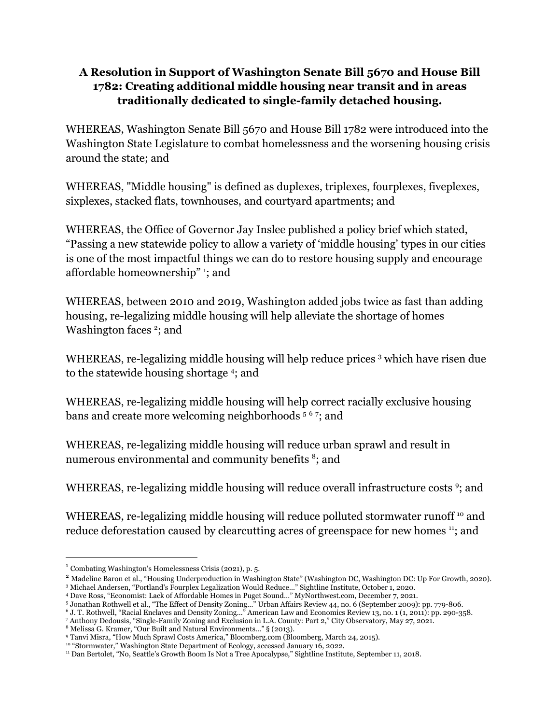## **A Resolution in Support of Washington Senate Bill 5670 and House Bill 1782: Creating additional middle housing near transit and in areas traditionally dedicated to single-family detached housing.**

WHEREAS, Washington Senate Bill 5670 and House Bill 1782 were introduced into the Washington State Legislature to combat homelessness and the worsening housing crisis around the state; and

WHEREAS, "Middle housing" is defined as duplexes, triplexes, fourplexes, fiveplexes, sixplexes, stacked flats, townhouses, and courtyard apartments; and

WHEREAS, the Office of Governor Jay Inslee published a policy brief which stated, "Passing a new statewide policy to allow a variety of 'middle housing' types in our cities is one of the most impactful things we can do to restore housing supply and encourage affordable homeownership" <sup>1</sup> ; and

WHEREAS, between 2010 and 2019, Washington added jobs twice as fast than adding housing, re-legalizing middle housing will help alleviate the shortage of homes Washington faces  $2$ ; and

WHEREAS, re-legalizing middle housing will help reduce prices <sup>3</sup> which have risen due to the statewide housing shortage<sup>4</sup>; and

WHEREAS, re-legalizing middle housing will help correct racially exclusive housing bans and create more welcoming neighborhoods<sup>567</sup>; and

WHEREAS, re-legalizing middle housing will reduce urban sprawl and result in numerous environmental and community benefits<sup>8</sup>; and

WHEREAS, re-legalizing middle housing will reduce overall infrastructure costs<sup>9</sup>; and

WHEREAS, re-legalizing middle housing will reduce polluted stormwater runoff <sup>10</sup> and reduce deforestation caused by clearcutting acres of greenspace for new homes <sup>11</sup>; and

<sup>1</sup> Combating Washington's Homelessness Crisis (2021), p. 5.

<sup>3</sup> Michael Andersen, "Portland's Fourplex Legalization Would Reduce…" Sightline Institute, October 1, 2020. <sup>2</sup> Madeline Baron et al., "Housing Underproduction in Washington State" (Washington DC, Washington DC: Up For Growth, 2020).

<sup>4</sup> Dave Ross, "Economist: Lack of Affordable Homes in Puget Sound…" MyNorthwest.com, December 7, 2021.

<sup>5</sup> Jonathan Rothwell et al., "The Effect of Density Zoning…" Urban Affairs Review 44, no. 6 (September 2009): pp. 779-806.

<sup>6</sup> J. T. Rothwell, "Racial Enclaves and Density Zoning…" American Law and Economics Review 13, no. 1 (1, 2011): pp. 290-358.

<sup>7</sup> Anthony Dedousis, "Single-Family Zoning and Exclusion in L.A. County: Part 2," City Observatory, May 27, 2021.

<sup>8</sup> Melissa G. Kramer, "Our Built and Natural Environments…" § (2013).

<sup>9</sup> Tanvi Misra, "How Much Sprawl Costs America," Bloomberg.com (Bloomberg, March 24, 2015).

<sup>&</sup>lt;sup>10</sup> "Stormwater," Washington State Department of Ecology, accessed January 16, 2022.

<sup>11</sup> Dan Bertolet, "No, Seattle's Growth Boom Is Not a Tree Apocalypse," Sightline Institute, September 11, 2018.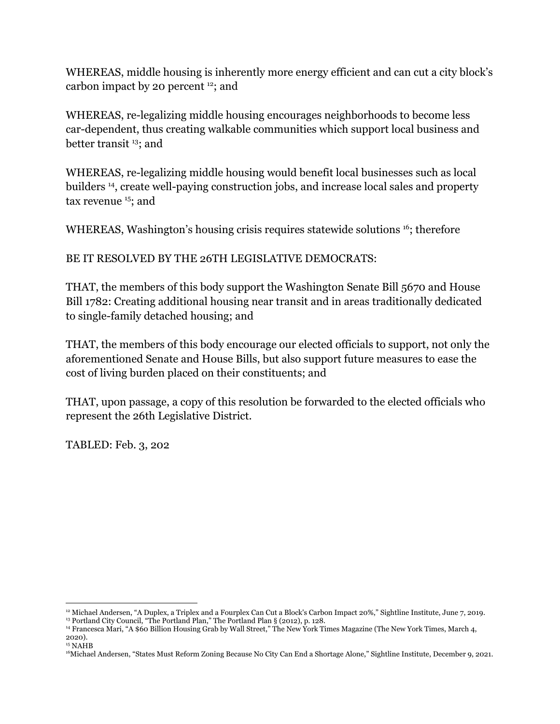WHEREAS, middle housing is inherently more energy efficient and can cut a city block's carbon impact by 20 percent  $12$ ; and

WHEREAS, re-legalizing middle housing encourages neighborhoods to become less car-dependent, thus creating walkable communities which support local business and better transit<sup>13</sup>; and

WHEREAS, re-legalizing middle housing would benefit local businesses such as local builders <sup>14</sup> , create well-paying construction jobs, and increase local sales and property tax revenue<sup>15</sup>; and

WHEREAS, Washington's housing crisis requires statewide solutions <sup>16</sup>; therefore

BE IT RESOLVED BY THE 26TH LEGISLATIVE DEMOCRATS:

THAT, the members of this body support the Washington Senate Bill 5670 and House Bill 1782: Creating additional housing near transit and in areas traditionally dedicated to single-family detached housing; and

THAT, the members of this body encourage our elected officials to support, not only the aforementioned Senate and House Bills, but also support future measures to ease the cost of living burden placed on their constituents; and

THAT, upon passage, a copy of this resolution be forwarded to the elected officials who represent the 26th Legislative District.

TABLED: Feb. 3, 202

<sup>12</sup> Michael Andersen, "A Duplex, a Triplex and a Fourplex Can Cut a Block's Carbon Impact 20%," Sightline Institute, June 7, 2019.

<sup>13</sup> Portland City Council, "The Portland Plan," The Portland Plan § (2012), p. 128.

<sup>14</sup> Francesca Mari, "A \$60 Billion Housing Grab by Wall Street," The New York Times Magazine (The New York Times, March 4, 2020).

<sup>15</sup> NAHB

<sup>16</sup>Michael Andersen, "States Must Reform Zoning Because No City Can End a Shortage Alone," Sightline Institute, December 9, 2021.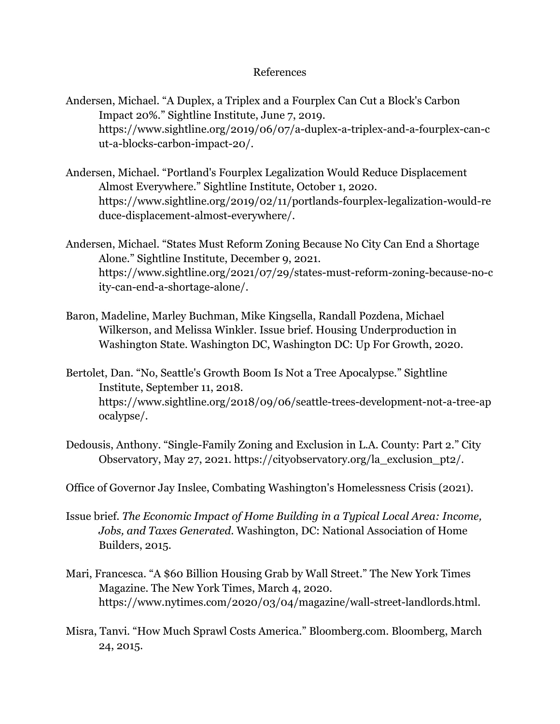## References

- Andersen, Michael. "A Duplex, a Triplex and a Fourplex Can Cut a Block's Carbon Impact 20%." Sightline Institute, June 7, 2019. https://www.sightline.org/2019/06/07/a-duplex-a-triplex-and-a-fourplex-can-c ut-a-blocks-carbon-impact-20/.
- Andersen, Michael. "Portland's Fourplex Legalization Would Reduce Displacement Almost Everywhere." Sightline Institute, October 1, 2020. https://www.sightline.org/2019/02/11/portlands-fourplex-legalization-would-re duce-displacement-almost-everywhere/.
- Andersen, Michael. "States Must Reform Zoning Because No City Can End a Shortage Alone." Sightline Institute, December 9, 2021. https://www.sightline.org/2021/07/29/states-must-reform-zoning-because-no-c ity-can-end-a-shortage-alone/.
- Baron, Madeline, Marley Buchman, Mike Kingsella, Randall Pozdena, Michael Wilkerson, and Melissa Winkler. Issue brief. Housing Underproduction in Washington State. Washington DC, Washington DC: Up For Growth, 2020.
- Bertolet, Dan. "No, Seattle's Growth Boom Is Not a Tree Apocalypse." Sightline Institute, September 11, 2018. https://www.sightline.org/2018/09/06/seattle-trees-development-not-a-tree-ap ocalypse/.
- Dedousis, Anthony. "Single-Family Zoning and Exclusion in L.A. County: Part 2." City Observatory, May 27, 2021. https://cityobservatory.org/la\_exclusion\_pt2/.
- Office of Governor Jay Inslee, Combating Washington's Homelessness Crisis (2021).
- Issue brief. *The Economic Impact of Home Building in a Typical Local Area: Income, Jobs, and Taxes Generated*. Washington, DC: National Association of Home Builders, 2015.
- Mari, Francesca. "A \$60 Billion Housing Grab by Wall Street." The New York Times Magazine. The New York Times, March 4, 2020. https://www.nytimes.com/2020/03/04/magazine/wall-street-landlords.html.
- Misra, Tanvi. "How Much Sprawl Costs America." Bloomberg.com. Bloomberg, March 24, 2015.